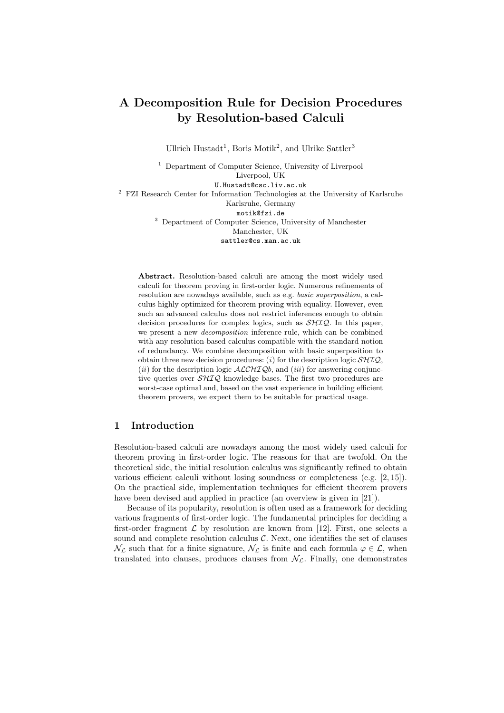# A Decomposition Rule for Decision Procedures by Resolution-based Calculi

Ullrich Hustadt<sup>1</sup>, Boris Motik<sup>2</sup>, and Ulrike Sattler<sup>3</sup>

<sup>1</sup> Department of Computer Science, University of Liverpool Liverpool, UK U.Hustadt@csc.liv.ac.uk <sup>2</sup> FZI Research Center for Information Technologies at the University of Karlsruhe Karlsruhe, Germany motik@fzi.de <sup>3</sup> Department of Computer Science, University of Manchester Manchester, UK sattler@cs.man.ac.uk

Abstract. Resolution-based calculi are among the most widely used calculi for theorem proving in first-order logic. Numerous refinements of resolution are nowadays available, such as e.g. basic superposition, a calculus highly optimized for theorem proving with equality. However, even such an advanced calculus does not restrict inferences enough to obtain decision procedures for complex logics, such as  $\mathcal{SHIQ}$ . In this paper, we present a new decomposition inference rule, which can be combined with any resolution-based calculus compatible with the standard notion of redundancy. We combine decomposition with basic superposition to obtain three new decision procedures: (i) for the description logic  $\mathcal{SHIQ}$ , (ii) for the description logic  $\text{ALCHIQb}$ , and (iii) for answering conjunctive queries over SHIQ knowledge bases. The first two procedures are worst-case optimal and, based on the vast experience in building efficient theorem provers, we expect them to be suitable for practical usage.

# 1 Introduction

Resolution-based calculi are nowadays among the most widely used calculi for theorem proving in first-order logic. The reasons for that are twofold. On the theoretical side, the initial resolution calculus was significantly refined to obtain various efficient calculi without losing soundness or completeness (e.g. [2, 15]). On the practical side, implementation techniques for efficient theorem provers have been devised and applied in practice (an overview is given in [21]).

Because of its popularity, resolution is often used as a framework for deciding various fragments of first-order logic. The fundamental principles for deciding a first-order fragment  $\mathcal L$  by resolution are known from [12]. First, one selects a sound and complete resolution calculus  $C$ . Next, one identifies the set of clauses  $\mathcal{N}_{\mathcal{L}}$  such that for a finite signature,  $\mathcal{N}_{\mathcal{L}}$  is finite and each formula  $\varphi \in \mathcal{L}$ , when translated into clauses, produces clauses from  $\mathcal{N}_{\mathcal{L}}$ . Finally, one demonstrates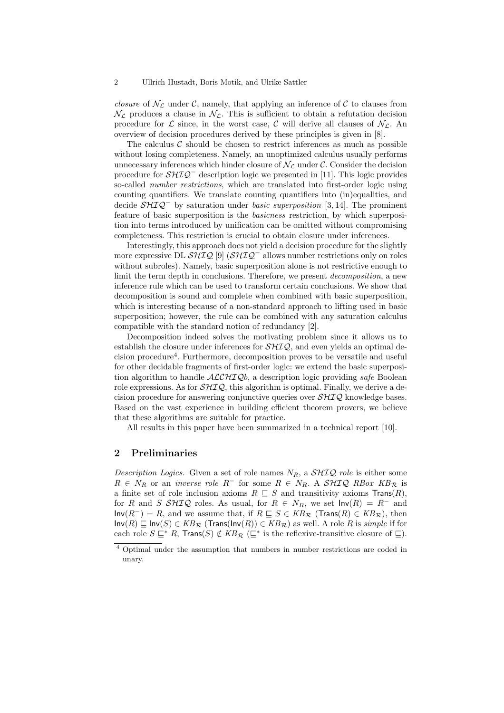*closure* of  $\mathcal{N}_{\mathcal{L}}$  under  $\mathcal{C}$ , namely, that applying an inference of  $\mathcal{C}$  to clauses from  $\mathcal{N}_{\mathcal{L}}$  produces a clause in  $\mathcal{N}_{\mathcal{L}}$ . This is sufficient to obtain a refutation decision procedure for  $\mathcal L$  since, in the worst case,  $\mathcal C$  will derive all clauses of  $\mathcal N_{\mathcal L}$ . An overview of decision procedures derived by these principles is given in [8].

The calculus  $\mathcal C$  should be chosen to restrict inferences as much as possible without losing completeness. Namely, an unoptimized calculus usually performs unnecessary inferences which hinder closure of  $\mathcal{N}_{\mathcal{L}}$  under  $\mathcal{C}$ . Consider the decision procedure for  $\mathcal{SHTQ}^-$  description logic we presented in [11]. This logic provides so-called *number restrictions*, which are translated into first-order logic using counting quantifiers. We translate counting quantifiers into (in)equalities, and decide  $\mathcal{SHTQ}^-$  by saturation under *basic superposition* [3, 14]. The prominent feature of basic superposition is the basicness restriction, by which superposition into terms introduced by unification can be omitted without compromising completeness. This restriction is crucial to obtain closure under inferences.

Interestingly, this approach does not yield a decision procedure for the slightly more expressive DL  $\mathcal{SHIO}$  [9]  $(\mathcal{SHIO}^-$  allows number restrictions only on roles without subroles). Namely, basic superposition alone is not restrictive enough to limit the term depth in conclusions. Therefore, we present *decomposition*, a new inference rule which can be used to transform certain conclusions. We show that decomposition is sound and complete when combined with basic superposition, which is interesting because of a non-standard approach to lifting used in basic superposition; however, the rule can be combined with any saturation calculus compatible with the standard notion of redundancy [2].

Decomposition indeed solves the motivating problem since it allows us to establish the closure under inferences for  $\mathcal{SHIQ}$ , and even yields an optimal decision procedure<sup>4</sup>. Furthermore, decomposition proves to be versatile and useful for other decidable fragments of first-order logic: we extend the basic superposition algorithm to handle  $ALCHIQb$ , a description logic providing safe Boolean role expressions. As for  $\mathcal{SHIO}$ , this algorithm is optimal. Finally, we derive a decision procedure for answering conjunctive queries over  $\mathcal{SHIQ}$  knowledge bases. Based on the vast experience in building efficient theorem provers, we believe that these algorithms are suitable for practice.

All results in this paper have been summarized in a technical report [10].

## 2 Preliminaries

Description Logics. Given a set of role names  $N_R$ , a  $\mathcal{SHIQ}$  role is either some  $R \in N_R$  or an *inverse role*  $R^-$  for some  $R \in N_R$ . A SHIQ RBox  $KB_R$  is a finite set of role inclusion axioms  $R \subseteq S$  and transitivity axioms  $\textsf{Trans}(R)$ , for R and S SHIQ roles. As usual, for  $R \in N_R$ , we set  $\text{Inv}(R) = R^-$  and  $Inv(R^{-}) = R$ , and we assume that, if  $R \subseteq S \in KB_{\mathcal{R}}$  (Trans(R)  $\in KB_{\mathcal{R}}$ ), then  $Inv(R) ⊆ Inv(S) ∈ KB_{R} (Trans(Inv(R)) ∈ KB_{R})$  as well. A role R is *simple* if for each role  $S \subseteq^* R$ , Trans $(S) \notin KB_{\mathcal{R}} \subseteq^*$  is the reflexive-transitive closure of  $\sqsubseteq$ ).

<sup>&</sup>lt;sup>4</sup> Optimal under the assumption that numbers in number restrictions are coded in unary.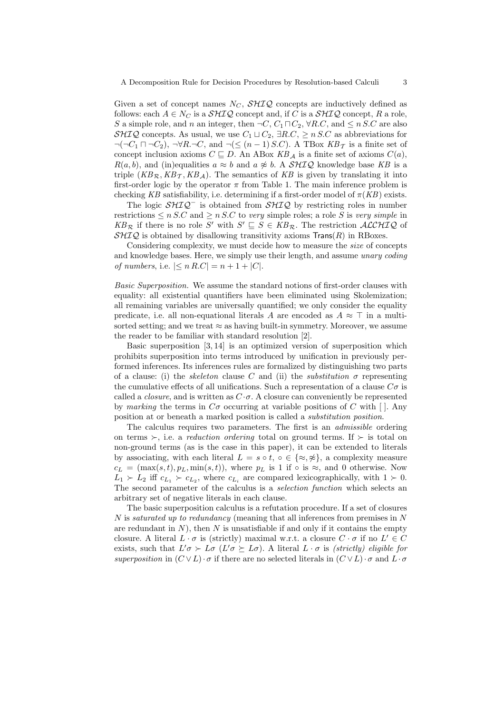Given a set of concept names  $N_C$ ,  $\mathcal{SHIQ}$  concepts are inductively defined as follows: each  $A \in N_C$  is a  $\mathcal{SHIQ}$  concept and, if C is a  $\mathcal{SHIQ}$  concept, R a role, S a simple role, and n an integer, then  $\neg C, C_1 \sqcap C_2, \forall R.C$ , and  $\leq n$  S.C are also SHIQ concepts. As usual, we use  $C_1 \sqcup C_2$ ,  $\exists R.C$ ,  $\geq n$  S.C as abbreviations for  $\neg(\neg C_1 \sqcap \neg C_2)$ ,  $\neg \forall R.\neg C$ , and  $\neg(\leq (n-1) S.C)$ . A TBox  $KB_\mathcal{T}$  is a finite set of concept inclusion axioms  $C \subseteq D$ . An ABox  $KB_A$  is a finite set of axioms  $C(a)$ ,  $R(a, b)$ , and (in)equalities  $a \approx b$  and  $a \not\approx b$ . A SHIQ knowledge base KB is a triple  $(KB_{\mathcal{R}}, KB_{\mathcal{T}}, KB_A)$ . The semantics of KB is given by translating it into first-order logic by the operator  $\pi$  from Table 1. The main inference problem is checking KB satisfiability, i.e. determining if a first-order model of  $\pi(KB)$  exists.

The logic  $\mathcal{SHIQ}^-$  is obtained from  $\mathcal{SHIQ}$  by restricting roles in number restrictions  $\leq n$  S.C and  $\geq n$  S.C to very simple roles; a role S is very simple in  $KB_{\mathcal{R}}$  if there is no role S' with  $S' \subseteq S \in KB_{\mathcal{R}}$ . The restriction  $ALCHIQ$  of  $\mathcal{SHIQ}$  is obtained by disallowing transitivity axioms  $\mathsf{Trans}(R)$  in RBoxes.

Considering complexity, we must decide how to measure the size of concepts and knowledge bases. Here, we simply use their length, and assume unary coding of numbers, i.e.  $|< n R.C| = n + 1 + |C|$ .

Basic Superposition. We assume the standard notions of first-order clauses with equality: all existential quantifiers have been eliminated using Skolemization; all remaining variables are universally quantified; we only consider the equality predicate, i.e. all non-equational literals A are encoded as  $A \approx \top$  in a multisorted setting; and we treat  $\approx$  as having built-in symmetry. Moreover, we assume the reader to be familiar with standard resolution [2].

Basic superposition [3, 14] is an optimized version of superposition which prohibits superposition into terms introduced by unification in previously performed inferences. Its inferences rules are formalized by distinguishing two parts of a clause: (i) the *skeleton* clause C and (ii) the *substitution*  $\sigma$  representing the cumulative effects of all unifications. Such a representation of a clause  $C\sigma$  is called a *closure*, and is written as  $C \cdot \sigma$ . A closure can conveniently be represented by marking the terms in  $C\sigma$  occurring at variable positions of C with []. Any position at or beneath a marked position is called a substitution position.

The calculus requires two parameters. The first is an admissible ordering on terms ≻, i.e. a *reduction ordering* total on ground terms. If  $\succ$  is total on non-ground terms (as is the case in this paper), it can be extended to literals by associating, with each literal  $L = s \circ t$ ,  $\circ \in \{\approx, \frac{\infty}{s}\}\$ , a complexity measure  $c_L = (\max(s, t), p_L, \min(s, t)),$  where  $p_L$  is 1 if  $\circ$  is  $\approx$ , and 0 otherwise. Now  $L_1 \succ L_2$  iff  $c_{L_1} \succ c_{L_2}$ , where  $c_{L_i}$  are compared lexicographically, with  $1 \succ 0$ . The second parameter of the calculus is a selection function which selects an arbitrary set of negative literals in each clause.

The basic superposition calculus is a refutation procedure. If a set of closures N is saturated up to redundancy (meaning that all inferences from premises in N are redundant in  $N$ ), then  $N$  is unsatisfiable if and only if it contains the empty closure. A literal  $L \cdot \sigma$  is (strictly) maximal w.r.t. a closure  $C \cdot \sigma$  if no  $L' \in C$ exists, such that  $L' \sigma \succ L \sigma$  ( $L' \sigma \succeq L \sigma$ ). A literal  $L \cdot \sigma$  is *(strictly) eligible for* superposition in  $(C \vee L) \cdot \sigma$  if there are no selected literals in  $(C \vee L) \cdot \sigma$  and  $L \cdot \sigma$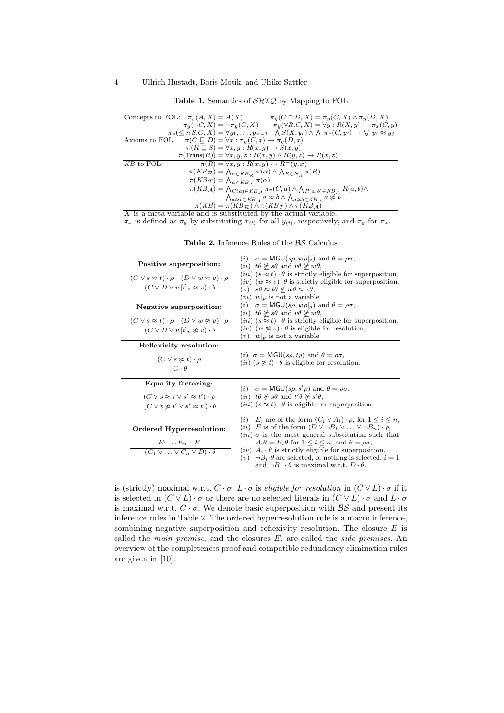Table 1. Semantics of  $\mathcal{SHIQ}$  by Mapping to FOL

| Concepts to FOL: $\pi_u(A, X) = A(X)$<br>$\pi_y(C \sqcap D, X) = \pi_y(C, X) \wedge \pi_y(D, X)$                                                  |  |  |
|---------------------------------------------------------------------------------------------------------------------------------------------------|--|--|
| $\pi_y(\neg C, X) = \neg \pi_y(C, X)$ $\pi_y(\forall R.C, X) = \forall y : R(X, y) \rightarrow \pi_x(C, y)$                                       |  |  |
| $\pi_y(\leq n \leq C, X) = \forall y_1, \ldots, y_{n+1} : \bigwedge S(X, y_i) \wedge \bigwedge \pi_x(C, y_i) \rightarrow \bigvee y_i \approx y_j$ |  |  |
| Axioms to FOL: $\pi(C \sqsubseteq D) = \forall x : \pi_y(C, x) \to \pi_y(D, x)$                                                                   |  |  |
| $\pi(R \sqsubseteq S) = \forall x, y : R(x, y) \rightarrow S(x, y)$                                                                               |  |  |
| $\pi(\textsf{Trans}(R)) = \forall x, y, z : R(x, y) \land R(y, z) \rightarrow R(x, z)$                                                            |  |  |
| $KB$ to FOL:<br>$\pi(R) = \forall x, y : R(x, y) \leftrightarrow R^{-}(y, x)$                                                                     |  |  |
| $\pi(KB_{\mathcal{R}}) = \bigwedge_{\alpha \in KB_{\mathcal{R}}} \pi(\alpha) \wedge \bigwedge_{R \in N_B} \pi(R)$                                 |  |  |
| $\pi(KB_{\mathcal{T}}) = \bigwedge_{\alpha \in KB_{\mathcal{T}}} \pi(\alpha)$                                                                     |  |  |
| $\pi(KB_{\mathcal{A}}) = \bigwedge_{C(a) \in KB_{\mathcal{A}}} \pi_y(C, a) \wedge \bigwedge_{R(a, b) \in KB_{\mathcal{A}}} R(a, b) \wedge$        |  |  |
| $\bigwedge\nolimits_{a\approx b\in KB_{\mathcal{A}}} a\approx b\land\bigwedge\nolimits_{a\not\approx b\in KB_{\mathcal{A}}} a\not\approx b$       |  |  |
| $\pi(KB) = \pi(KB_{\mathcal{R}}) \wedge \pi(KB_{\mathcal{I}}) \wedge \pi(KB_{\mathcal{A}})$                                                       |  |  |
| $\overline{X}$ is a meta variable and is substituted by the actual variable.                                                                      |  |  |
| $\pi_x$ is defined as $\pi_y$ by substituting $x_{(i)}$ for all $y_{(i)}$ , respectively, and $\pi_y$ for $\pi_x$ .                               |  |  |

|                                                                             | $\sigma = MGU(s\rho, w\rho _p)$ and $\theta = \rho\sigma$ ,<br>(i)                                                                                 |
|-----------------------------------------------------------------------------|----------------------------------------------------------------------------------------------------------------------------------------------------|
| Positive superposition:                                                     | ( <i>ii</i> ) $t\theta \not\geq s\theta$ and $v\theta \not\geq w\theta$ ,                                                                          |
| $(C \vee s \approx t) \cdot \rho \quad (D \vee w \approx v) \cdot \rho$     | ( <i>iii</i> ) $(s \approx t) \cdot \theta$ is strictly eligible for superposition,                                                                |
| $(C \vee D \vee w[t]_p \approx v) \cdot \theta$                             | $(iv)$ $(w \approx v) \cdot \theta$ is strictly eligible for superposition,<br>(v) $s\theta \approx t\theta \not\succeq w\theta \approx v\theta$ , |
|                                                                             | $(vi)$ $w _p$ is not a variable.                                                                                                                   |
|                                                                             | ( <i>i</i> ) $\sigma = \overline{\text{MGU}(s\rho, w\rho _p)}$ and $\theta = \rho\sigma$ ,                                                         |
| Negative superposition:                                                     | ( <i>ii</i> ) $t\theta \not\geq s\theta$ and $v\theta \not\geq w\theta$ ,                                                                          |
|                                                                             | ( <i>iii</i> ) $(s \approx t) \cdot \theta$ is strictly eligible for superposition,                                                                |
| $(C \vee s \approx t) \cdot \rho \quad (D \vee w \not\approx v) \cdot \rho$ | $(iv)$ $(w \not\approx v) \cdot \theta$ is eligible for resolution,                                                                                |
| $(C \vee D \vee w[t]_p \not\approx v) \cdot \theta$                         | $(v)$ $w _p$ is not a variable.                                                                                                                    |
|                                                                             |                                                                                                                                                    |
| Reflexivity resolution:                                                     |                                                                                                                                                    |
| $(C \vee s \not\approx t) \cdot \rho$                                       | ( <i>i</i> ) $\sigma = MGU(s\rho, t\rho)$ and $\theta = \rho\sigma$ .                                                                              |
| $\overline{C \cdot \theta}$                                                 | ( <i>ii</i> ) $(s \not\approx t) \cdot \theta$ is eligible for resolution.                                                                         |
|                                                                             |                                                                                                                                                    |
| Equality factoring:                                                         |                                                                                                                                                    |
|                                                                             | ( <i>i</i> ) $\sigma = MGU(s\rho, s'\rho)$ and $\theta = \rho\sigma$ .                                                                             |
| $(C \vee s \approx t \vee s' \approx t') \cdot \rho$                        | ( <i>ii</i> ) $t\theta \not\geq s\theta$ and $t'\theta \not\geq s'\theta$ ,                                                                        |
| $(C \vee t \not\approx t' \vee s' \approx t') \cdot \theta$                 | ( <i>iii</i> ) $(s \approx t) \cdot \theta$ is eligible for superposition.                                                                         |
|                                                                             | (i) $E_i$ are of the form $(C_i \vee A_i) \cdot \rho$ , for $1 \leq i \leq n$ ,                                                                    |
|                                                                             | ( <i>ii</i> ) E is of the form $(D \vee \neg B_1 \vee \dots \vee \neg B_n) \cdot \rho$ ,                                                           |
| Ordered Hyperresolution:                                                    | ( <i>iii</i> ) $\sigma$ is the most general substitution such that                                                                                 |
| $E_1 \ldots E_n$ $E$                                                        | $A_i \theta = B_i \theta$ for $1 \leq i \leq n$ , and $\theta = \rho \sigma$ ,                                                                     |
| $(C_1 \vee \ldots \vee C_n \vee D) \cdot \theta$                            | ( <i>iv</i> ) $A_i \cdot \theta$ is strictly eligible for superposition,                                                                           |
|                                                                             | $(v) \neg B_i \cdot \theta$ are selected, or nothing is selected, $i = 1$                                                                          |
|                                                                             | and $\neg B_1 \cdot \theta$ is maximal w.r.t. $D \cdot \theta$ .                                                                                   |
|                                                                             |                                                                                                                                                    |

Table 2. Inference Rules of the  $BS$  Calculus

is (strictly) maximal w.r.t.  $C \cdot \sigma$ ;  $L \cdot \sigma$  is eligible for resolution in  $(C \vee L) \cdot \sigma$  if it is selected in  $(C \vee L) \cdot \sigma$  or there are no selected literals in  $(C \vee L) \cdot \sigma$  and  $L \cdot \sigma$ is maximal w.r.t.  $C \cdot \sigma$ . We denote basic superposition with  $\beta S$  and present its inference rules in Table 2. The ordered hyperresolution rule is a macro inference, combining negative superposition and reflexivity resolution. The closure  $E$  is called the main premise, and the closures  $E_i$  are called the side premises. An overview of the completeness proof and compatible redundancy elimination rules are given in [10].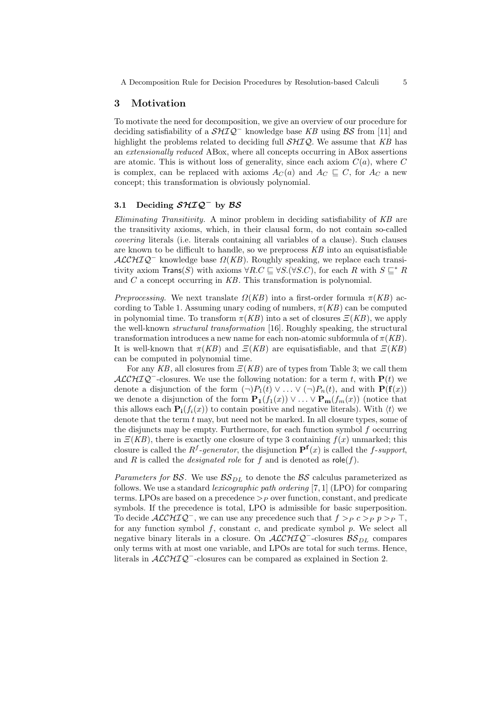## 3 Motivation

To motivate the need for decomposition, we give an overview of our procedure for deciding satisfiability of a  $\mathcal{SHIQ}^-$  knowledge base KB using  $\mathcal{BS}$  from [11] and highlight the problems related to deciding full  $\mathcal{SHIQ}$ . We assume that KB has an extensionally reduced ABox, where all concepts occurring in ABox assertions are atomic. This is without loss of generality, since each axiom  $C(a)$ , where C is complex, can be replaced with axioms  $A_C(a)$  and  $A_C \subseteq C$ , for  $A_C$  a new concept; this transformation is obviously polynomial.

#### 3.1 Deciding  $\mathcal{S} \mathcal{H} \mathcal{I} \mathcal{Q}^-$  by  $\mathcal{B} \mathcal{S}$

Eliminating Transitivity. A minor problem in deciding satisfiability of KB are the transitivity axioms, which, in their clausal form, do not contain so-called covering literals (i.e. literals containing all variables of a clause). Such clauses are known to be difficult to handle, so we preprocess KB into an equisatisfiable  $ALCHIQ^-$  knowledge base  $\Omega(KB)$ . Roughly speaking, we replace each transitivity axiom  $\textsf{Trans}(S)$  with axioms  $\forall R.C \sqsubseteq \forall S.(\forall S.C)$ , for each R with  $S \sqsubseteq^* R$ and C a concept occurring in KB. This transformation is polynomial.

Preprocessing. We next translate  $\Omega(KB)$  into a first-order formula  $\pi(KB)$  according to Table 1. Assuming unary coding of numbers,  $\pi(KB)$  can be computed in polynomial time. To transform  $\pi(KB)$  into a set of closures  $\Xi(KB)$ , we apply the well-known structural transformation [16]. Roughly speaking, the structural transformation introduces a new name for each non-atomic subformula of  $\pi(KB)$ . It is well-known that  $\pi(KB)$  and  $\Xi(KB)$  are equisatisfiable, and that  $\Xi(KB)$ can be computed in polynomial time.

For any KB, all closures from  $E(KB)$  are of types from Table 3; we call them  $\mathcal{ALCHIQ}^-$ -closures. We use the following notation: for a term t, with  $P(t)$  we denote a disjunction of the form  $(\neg)P_1(t) \vee \dots \vee (\neg)P_n(t)$ , and with  $\mathbf{P}(\mathbf{f}(x))$ we denote a disjunction of the form  $\mathbf{P}_1(f_1(x)) \vee \ldots \vee \mathbf{P}_m(f_m(x))$  (notice that this allows each  $\mathbf{P_i}(f_i(x))$  to contain positive and negative literals). With  $\langle t \rangle$  we denote that the term  $t$  may, but need not be marked. In all closure types, some of the disjuncts may be empty. Furthermore, for each function symbol f occurring in  $E(KB)$ , there is exactly one closure of type 3 containing  $f(x)$  unmarked; this closure is called the  $R^f$ -generator, the disjunction  $\mathbf{P}^f(x)$  is called the f-support, and R is called the *designated role* for f and is denoted as  $role(f)$ .

Parameters for  $\mathcal{BS}$ . We use  $\mathcal{BS}_{DL}$  to denote the  $\mathcal{BS}$  calculus parameterized as follows. We use a standard lexicographic path ordering [7, 1] (LPO) for comparing terms. LPOs are based on a precedence  $\geq_P$  over function, constant, and predicate symbols. If the precedence is total, LPO is admissible for basic superposition. To decide  $\mathcal{ALCHIQ}^-$ , we can use any precedence such that  $f >_P c >_P p >_P \top$ , for any function symbol  $f$ , constant  $c$ , and predicate symbol  $p$ . We select all negative binary literals in a closure. On  $\mathcal{ALCHIQ}^-$ -closures  $\mathcal{BS}_{DL}$  compares only terms with at most one variable, and LPOs are total for such terms. Hence, literals in  $\mathcal{ALCHIQ}^-$ -closures can be compared as explained in Section 2.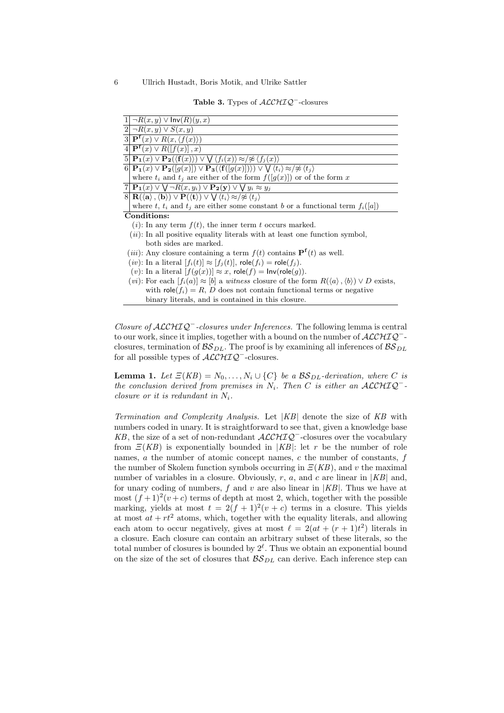Table 3. Types of  $\mathcal{ALCHIQ}^-$ -closures

| $1 \mid \neg R(x, y) \lor \text{Inv}(R)(y, x)$                                                                                                                                                |
|-----------------------------------------------------------------------------------------------------------------------------------------------------------------------------------------------|
| $2 \neg R(x,y)\vee S(x,y) $                                                                                                                                                                   |
| $\overline{3 \mathbf{P}^{\mathbf{f}}(x)\vee R(x,\langle f(x)\rangle)}$                                                                                                                        |
| $\overline{4 \mathbf{P}^{\mathbf{f}}(x) \vee R([f(x)],x)}$                                                                                                                                    |
| $5 \mathbf{P_1}(x) \vee \mathbf{P_2}(\langle \mathbf{f}(x) \rangle) \vee \bigvee \langle f_i(x) \rangle \approx / \mathcal{F} \langle f_j(x) \rangle$                                         |
| $6 \mathbf{P_1}(x) \vee \mathbf{P_2}([g(x)]) \vee \mathbf{P_3}(\langle \mathbf{f}([g(x)] \rangle) \vee \bigvee \langle t_i \rangle \approx / \not\approx \langle t_i \rangle)$                |
| where $t_i$ and $t_j$ are either of the form $f([g(x)])$ or of the form x                                                                                                                     |
| $7\vert \mathbf{P_1}(x) \vee \bigvee \neg R(x,y_i) \vee \mathbf{P_2}(y) \vee \bigvee y_i \approx y_j$                                                                                         |
| $8 \mathbf{R}(\langle \mathbf{a} \rangle, \langle \mathbf{b} \rangle) \vee \mathbf{P}(\langle \mathbf{t} \rangle) \vee \bigvee \langle t_i \rangle \approx / \mathcal{Z} \langle t_j \rangle$ |
| where t, $t_i$ and $t_j$ are either some constant b or a functional term $f_i([a])$                                                                                                           |
| Conditions:                                                                                                                                                                                   |
| $(i)$ : In any term $f(t)$ , the inner term t occurs marked.                                                                                                                                  |
| $(ii)$ : In all positive equality literals with at least one function symbol,                                                                                                                 |
| both sides are marked.                                                                                                                                                                        |
| ( <i>iii</i> ): Any closure containing a term $f(t)$ contains $\mathbf{P}^{\mathbf{f}}(t)$ as well.                                                                                           |
| $(iv)$ : In a literal $[f_i(t)] \approx [f_j(t)]$ , role $(f_i)$ = role $(f_j)$ .                                                                                                             |
| (v): In a literal $[f(g(x))] \approx x$ , role(f) = lnv(role(g)).                                                                                                                             |
| ( <i>vi</i> ): For each $[f_i(a)] \approx [b]$ a <i>witness</i> closure of the form $R(\langle a \rangle, \langle b \rangle) \vee D$ exists,                                                  |
| with $\text{role}(f_i) = R$ , D does not contain functional terms or negative                                                                                                                 |
| binary literals, and is contained in this closure.                                                                                                                                            |

Closure of ALCHIQ<sup>-</sup>-closures under Inferences. The following lemma is central to our work, since it implies, together with a bound on the number of  $\mathcal{ALCHIQ}^-$ closures, termination of  $\mathcal{BS}_{DL}$ . The proof is by examining all inferences of  $\mathcal{BS}_{DL}$ for all possible types of  $\text{ALCHIQ}^-$ -closures.

**Lemma 1.** Let  $\Xi(KB) = N_0, \ldots, N_i \cup \{C\}$  be a  $BS_{DL}$ -derivation, where C is the conclusion derived from premises in  $N_i$ . Then C is either an ALCHIQ<sup>-</sup>closure or it is redundant in  $N_i$ .

Termination and Complexity Analysis. Let |KB| denote the size of KB with numbers coded in unary. It is straightforward to see that, given a knowledge base KB, the size of a set of non-redundant  $\mathcal{ALCHIQ}^-$ -closures over the vocabulary from  $\mathcal{Z}(KB)$  is exponentially bounded in  $|KB|$ : let r be the number of role names,  $a$  the number of atomic concept names,  $c$  the number of constants,  $f$ the number of Skolem function symbols occurring in  $\mathcal{Z}(KB)$ , and v the maximal number of variables in a closure. Obviously, r, a, and c are linear in  $|KB|$  and, for unary coding of numbers,  $f$  and  $v$  are also linear in  $|KB|$ . Thus we have at most  $(f+1)^2(v+c)$  terms of depth at most 2, which, together with the possible marking, yields at most  $t = 2(f+1)^2(v+c)$  terms in a closure. This yields at most  $at + rt^2$  atoms, which, together with the equality literals, and allowing each atom to occur negatively, gives at most  $\ell = 2(at + (r+1)t^2)$  literals in a closure. Each closure can contain an arbitrary subset of these literals, so the total number of closures is bounded by  $2^{\ell}$ . Thus we obtain an exponential bound on the size of the set of closures that  $\mathcal{BS}_{DL}$  can derive. Each inference step can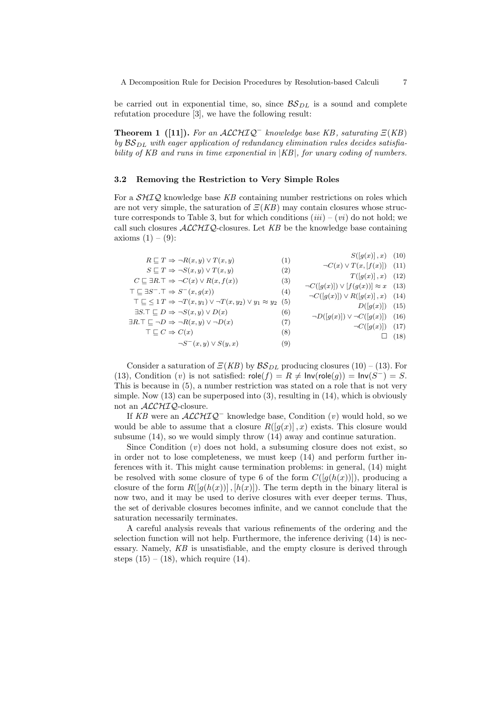be carried out in exponential time, so, since  $\mathcal{BS}_{DL}$  is a sound and complete refutation procedure [3], we have the following result:

**Theorem 1** ([11]). For an  $ALCHIQ^-$  knowledge base KB, saturating  $E(KB)$ by  $BS_{DL}$  with eager application of redundancy elimination rules decides satisfiability of KB and runs in time exponential in |KB|, for unary coding of numbers.

#### 3.2 Removing the Restriction to Very Simple Roles

For a  $\mathcal{SHIQ}$  knowledge base KB containing number restrictions on roles which are not very simple, the saturation of  $\mathcal{Z}(KB)$  may contain closures whose structure corresponds to Table 3, but for which conditions  $(iii) - (vi)$  do not hold; we call such closures  $\text{ALCHIO}-$ closures. Let KB be the knowledge base containing axioms  $(1) - (9)$ :

| $R \sqsubseteq T \Rightarrow \neg R(x, y) \vee T(x, y)$                                                    | (1) | $S([q(x)], x)$ (10)                                  |             |
|------------------------------------------------------------------------------------------------------------|-----|------------------------------------------------------|-------------|
| $S \sqsubseteq T \Rightarrow \neg S(x,y) \vee T(x,y)$                                                      | (2) | $\neg C(x) \vee T(x, [f(x)])$ (11)                   |             |
| $C \sqsubseteq \exists R.\top \Rightarrow \neg C(x) \vee R(x, f(x))$                                       | (3) | $T([g(x)],x)$ (12)                                   |             |
| $\top \sqsubseteq \exists S^- \ldotp \top \Rightarrow S^-(x, g(x))$                                        | (4) | $\neg C([g(x)]) \vee [f(g(x))] \approx x \quad (13)$ |             |
| $\top \sqsubseteq \leq 1 \, T \Rightarrow \neg T(x, y_1) \vee \neg T(x, y_2) \vee y_1 \approx y_2 \tag{5}$ |     | $\neg C([g(x)]) \vee R([g(x)], x)$ (14)              |             |
| $\exists S.\top \sqsubseteq D \Rightarrow \neg S(x,y) \vee D(x)$                                           | (6) | $D([g(x)])$ (15)                                     |             |
| $\exists R.\top \sqsubseteq \neg D \Rightarrow \neg R(x,y) \vee \neg D(x)$                                 | (7) | $\neg D([g(x)]) \vee \neg C([g(x)])$                 | (16)        |
| $\top \sqsubset C \Rightarrow C(x)$                                                                        | (8) | $\neg C([g(x)])$ (17)                                |             |
| $\neg S^-(x,y) \vee S(y,x)$                                                                                | (9) |                                                      | $\Box$ (18) |
|                                                                                                            |     |                                                      |             |

Consider a saturation of  $\mathcal{Z}(KB)$  by  $\mathcal{BS}_{DL}$  producing closures (10) – (13). For (13), Condition (v) is not satisfied:  $\mathsf{role}(f) = R \neq \mathsf{Inv}(\mathsf{role}(g)) = \mathsf{Inv}(S^-) = S$ . This is because in (5), a number restriction was stated on a role that is not very simple. Now  $(13)$  can be superposed into  $(3)$ , resulting in  $(14)$ , which is obviously not an  $ALCHIQ$ -closure.

If KB were an  $\mathcal{ALCHIQ}^-$  knowledge base, Condition (v) would hold, so we would be able to assume that a closure  $R([q(x)], x)$  exists. This closure would subsume (14), so we would simply throw (14) away and continue saturation.

Since Condition  $(v)$  does not hold, a subsuming closure does not exist, so in order not to lose completeness, we must keep (14) and perform further inferences with it. This might cause termination problems: in general, (14) might be resolved with some closure of type 6 of the form  $C([q(h(x))])$ , producing a closure of the form  $R([q(h(x))], [h(x)])$ . The term depth in the binary literal is now two, and it may be used to derive closures with ever deeper terms. Thus, the set of derivable closures becomes infinite, and we cannot conclude that the saturation necessarily terminates.

A careful analysis reveals that various refinements of the ordering and the selection function will not help. Furthermore, the inference deriving (14) is necessary. Namely, KB is unsatisfiable, and the empty closure is derived through steps  $(15) - (18)$ , which require  $(14)$ .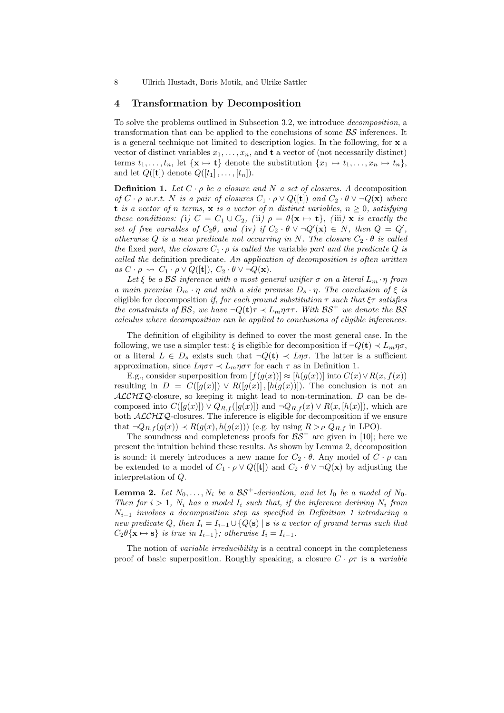## 4 Transformation by Decomposition

To solve the problems outlined in Subsection 3.2, we introduce decomposition, a transformation that can be applied to the conclusions of some  $\beta S$  inferences. It is a general technique not limited to description logics. In the following, for x a vector of distinct variables  $x_1, \ldots, x_n$ , and **t** a vector of (not necessarily distinct) terms  $t_1, \ldots, t_n$ , let  $\{x \mapsto t\}$  denote the substitution  $\{x_1 \mapsto t_1, \ldots, x_n \mapsto t_n\}$ , and let  $Q([\mathbf{t}])$  denote  $Q([t_1], \ldots, [t_n])$ .

**Definition 1.** Let  $C \cdot \rho$  be a closure and N a set of closures. A decomposition of  $C \cdot \rho$  w.r.t. N is a pair of closures  $C_1 \cdot \rho \vee Q([\mathbf{t}])$  and  $C_2 \cdot \theta \vee \neg Q(\mathbf{x})$  where t is a vector of n terms, x is a vector of n distinct variables,  $n \geq 0$ , satisfying these conditions: (i)  $C = C_1 \cup C_2$ , (ii)  $\rho = \theta\{\mathbf{x} \mapsto \mathbf{t}\}\text{, (iii) } \mathbf{x}$  is exactly the set of free variables of  $C_2\theta$ , and (iv) if  $C_2 \cdot \theta \vee \neg Q'(\mathbf{x}) \in N$ , then  $Q = Q'$ , otherwise Q is a new predicate not occurring in N. The closure  $C_2 \cdot \theta$  is called the fixed part, the closure  $C_1 \cdot \rho$  is called the variable part and the predicate Q is called the definition predicate. An application of decomposition is often written as  $C \cdot \rho \rightsquigarrow C_1 \cdot \rho \vee Q([\mathbf{t}]), C_2 \cdot \theta \vee \neg Q(\mathbf{x}).$ 

Let  $\xi$  be a BS inference with a most general unifier  $\sigma$  on a literal  $L_m \cdot \eta$  from a main premise  $D_m \cdot \eta$  and with a side premise  $D_s \cdot \eta$ . The conclusion of  $\xi$  is eligible for decomposition if, for each ground substitution  $\tau$  such that  $\xi \tau$  satisfies the constraints of BS, we have  $\neg Q(\mathbf{t}) \tau \prec L_m \eta \sigma \tau$ . With BS<sup>+</sup> we denote the BS calculus where decomposition can be applied to conclusions of eligible inferences.

The definition of eligibility is defined to cover the most general case. In the following, we use a simpler test:  $\xi$  is eligible for decomposition if  $\neg Q(\mathbf{t}) \prec L_m \eta \sigma$ , or a literal  $L \in D_s$  exists such that  $\neg Q(\mathbf{t}) \prec L\eta\sigma$ . The latter is a sufficient approximation, since  $L\eta\sigma\tau \prec L_m\eta\sigma\tau$  for each  $\tau$  as in Definition 1.

E.g., consider superposition from  $[f(q(x))] \approx [h(q(x))]$  into  $C(x) \vee R(x, f(x))$ resulting in  $D = C([g(x)]) \vee R([g(x)] , [h(g(x))])$ . The conclusion is not an  $\mathcal{ALCHIQ}$ -closure, so keeping it might lead to non-termination. D can be decomposed into  $C([g(x)]) \vee Q_{R,f}([g(x)])$  and  $\neg Q_{R,f}(x) \vee R(x,[h(x)])$ , which are both  $\text{ALCHIQ-}$ closures. The inference is eligible for decomposition if we ensure that  $\neg Q_{R,f}(g(x)) \prec R(g(x),h(g(x)))$  (e.g. by using  $R >_P Q_{R,f}$  in LPO).

The soundness and completeness proofs for  $BS^+$  are given in [10]; here we present the intuition behind these results. As shown by Lemma 2, decomposition is sound: it merely introduces a new name for  $C_2 \cdot \theta$ . Any model of  $C \cdot \rho$  can be extended to a model of  $C_1 \cdot \rho \vee Q([\mathbf{t}])$  and  $C_2 \cdot \theta \vee \neg Q(\mathbf{x})$  by adjusting the interpretation of Q.

**Lemma 2.** Let  $N_0, \ldots, N_i$  be a  $BS^+$ -derivation, and let  $I_0$  be a model of  $N_0$ . Then for  $i > 1$ ,  $N_i$  has a model  $I_i$  such that, if the inference deriving  $N_i$  from  $N_{i-1}$  involves a decomposition step as specified in Definition 1 introducing a new predicate Q, then  $I_i = I_{i-1} \cup \{Q(s) | s \text{ is a vector of ground terms such that }$  $C_2\theta\{\mathbf{x}\mapsto\mathbf{s}\}\$ is true in  $I_{i-1}\}$ ; otherwise  $I_i = I_{i-1}$ .

The notion of *variable irreducibility* is a central concept in the completeness proof of basic superposition. Roughly speaking, a closure  $C \cdot \rho \tau$  is a variable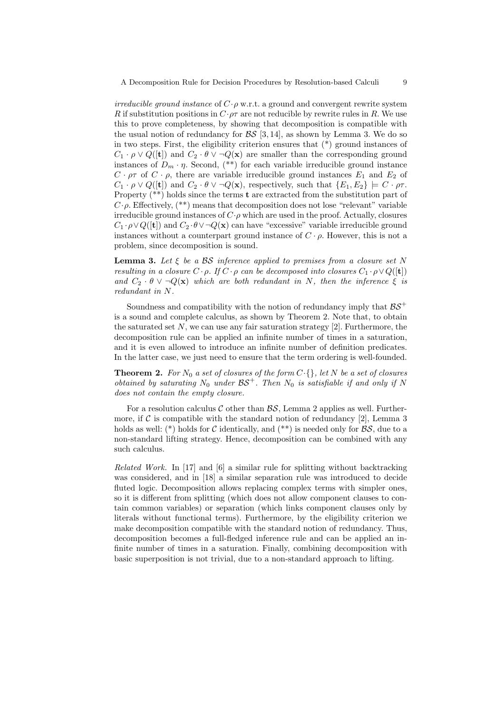A Decomposition Rule for Decision Procedures by Resolution-based Calculi 9

irreducible ground instance of  $C \cdot \rho$  w.r.t. a ground and convergent rewrite system R if substitution positions in  $C \cdot \rho \tau$  are not reducible by rewrite rules in R. We use this to prove completeness, by showing that decomposition is compatible with the usual notion of redundancy for  $\mathcal{BS}$  [3, 14], as shown by Lemma 3. We do so in two steps. First, the eligibility criterion ensures that (\*) ground instances of  $C_1 \cdot \rho \vee Q([\mathbf{t}])$  and  $C_2 \cdot \theta \vee \neg Q(\mathbf{x})$  are smaller than the corresponding ground instances of  $D_m \cdot \eta$ . Second, (\*\*) for each variable irreducible ground instance  $C \cdot \rho \tau$  of  $C \cdot \rho$ , there are variable irreducible ground instances  $E_1$  and  $E_2$  of  $C_1 \cdot \rho \vee Q([\mathbf{t}])$  and  $C_2 \cdot \theta \vee \neg Q(\mathbf{x})$ , respectively, such that  $\{E_1, E_2\} \models C \cdot \rho \tau$ . Property (\*\*) holds since the terms **t** are extracted from the substitution part of  $C \cdot \rho$ . Effectively,  $(**)$  means that decomposition does not lose "relevant" variable irreducible ground instances of  $C \cdot \rho$  which are used in the proof. Actually, closures  $C_1 \cdot \rho \vee Q([\mathbf{t}])$  and  $C_2 \cdot \theta \vee \neg Q(\mathbf{x})$  can have "excessive" variable irreducible ground instances without a counterpart ground instance of  $C \cdot \rho$ . However, this is not a problem, since decomposition is sound.

**Lemma 3.** Let  $\xi$  be a BS inference applied to premises from a closure set N resulting in a closure  $C \cdot \rho$ . If  $C \cdot \rho$  can be decomposed into closures  $C_1 \cdot \rho \vee Q([\mathbf{t}])$ and  $C_2 \cdot \theta \vee \neg Q(\mathbf{x})$  which are both redundant in N, then the inference  $\xi$  is redundant in N.

Soundness and compatibility with the notion of redundancy imply that  $BS^+$ is a sound and complete calculus, as shown by Theorem 2. Note that, to obtain the saturated set  $N$ , we can use any fair saturation strategy [2]. Furthermore, the decomposition rule can be applied an infinite number of times in a saturation, and it is even allowed to introduce an infinite number of definition predicates. In the latter case, we just need to ensure that the term ordering is well-founded.

**Theorem 2.** For  $N_0$  a set of closures of the form  $C \cdot \{\}$ , let N be a set of closures obtained by saturating  $N_0$  under  $BS^+$ . Then  $N_0$  is satisfiable if and only if N does not contain the empty closure.

For a resolution calculus  $\mathcal C$  other than  $\mathcal{BS}$ , Lemma 2 applies as well. Furthermore, if  $\mathcal C$  is compatible with the standard notion of redundancy [2], Lemma 3 holds as well: (\*) holds for C identically, and (\*\*) is needed only for  $\mathcal{BS}$ , due to a non-standard lifting strategy. Hence, decomposition can be combined with any such calculus.

Related Work. In [17] and [6] a similar rule for splitting without backtracking was considered, and in [18] a similar separation rule was introduced to decide fluted logic. Decomposition allows replacing complex terms with simpler ones, so it is different from splitting (which does not allow component clauses to contain common variables) or separation (which links component clauses only by literals without functional terms). Furthermore, by the eligibility criterion we make decomposition compatible with the standard notion of redundancy. Thus, decomposition becomes a full-fledged inference rule and can be applied an infinite number of times in a saturation. Finally, combining decomposition with basic superposition is not trivial, due to a non-standard approach to lifting.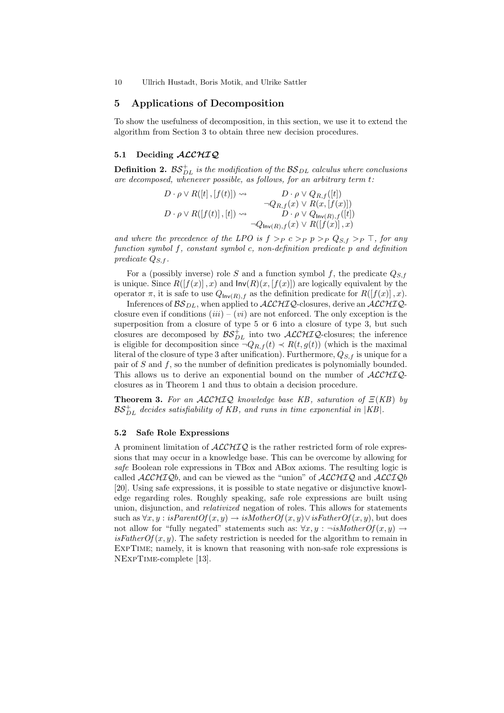## 5 Applications of Decomposition

To show the usefulness of decomposition, in this section, we use it to extend the algorithm from Section 3 to obtain three new decision procedures.

# 5.1 Deciding ALCHIQ

**Definition 2.**  $BS_{DL}^+$  is the modification of the  $BS_{DL}$  calculus where conclusions are decomposed, whenever possible, as follows, for an arbitrary term t:

| $D \cdot \rho \vee R([t], [f(t)]) \rightsquigarrow$ | $D \cdot \rho \vee Q_{R,f}([t])$                 |
|-----------------------------------------------------|--------------------------------------------------|
|                                                     | $\neg Q_{R,f}(x) \vee R(x,[f(x)])$               |
| $D \cdot \rho \vee R([f(t)], [t]) \rightsquigarrow$ | $D \cdot \rho \vee Q_{\mathsf{Inv}(R),f}([t])$   |
|                                                     | $\neg Q_{\mathsf{Inv}(R),f}(x) \lor R([f(x)],x)$ |

and where the precedence of the LPO is  $f >_P c >_P p >_P Q_{S,f} >_P \top$ , for any function symbol f, constant symbol c, non-definition predicate p and definition predicate  $Q_{S,f}$ .

For a (possibly inverse) role S and a function symbol f, the predicate  $Q_{S,f}$ is unique. Since  $R([f(x)], x)$  and  $Inv(R)(x, [f(x)])$  are logically equivalent by the operator  $\pi$ , it is safe to use  $Q_{\mathsf{Inv}(R),f}$  as the definition predicate for  $R([f(x)],x)$ .

Inferences of  $BS_{DL}$ , when applied to  $ALCHIQ$ -closures, derive an  $ALCHIQ$ closure even if conditions  $(iii) - (vi)$  are not enforced. The only exception is the superposition from a closure of type 5 or 6 into a closure of type 3, but such closures are decomposed by  $\mathcal{BS}_{DL}^+$  into two  $\mathcal{ALCHIQ}$ -closures; the inference is eligible for decomposition since  $\neg Q_{R,f}(t) \prec R(t,g(t))$  (which is the maximal literal of the closure of type 3 after unification). Furthermore,  $Q_{S,f}$  is unique for a pair of  $S$  and  $f$ , so the number of definition predicates is polynomially bounded. This allows us to derive an exponential bound on the number of  $\text{ALCHIQ-}$ closures as in Theorem 1 and thus to obtain a decision procedure.

**Theorem 3.** For an  $ALCHIQ$  knowledge base KB, saturation of  $E(KB)$  by  $\mathcal{BS}_{DL}^+$  decides satisfiability of KB, and runs in time exponential in |KB|.

## 5.2 Safe Role Expressions

A prominent limitation of  $ALCHIQ$  is the rather restricted form of role expressions that may occur in a knowledge base. This can be overcome by allowing for safe Boolean role expressions in TBox and ABox axioms. The resulting logic is called  $ALCHIQb$ , and can be viewed as the "union" of  $ALCHIQ$  and  $ALCIQb$ [20]. Using safe expressions, it is possible to state negative or disjunctive knowledge regarding roles. Roughly speaking, safe role expressions are built using union, disjunction, and *relativized* negation of roles. This allows for statements such as  $\forall x, y : isParentOf(x, y) \rightarrow isMotherOf(x, y) \lor isFatherOf(x, y)$ , but does not allow for "fully negated" statements such as:  $\forall x, y : \neg \textit{isMotherOf}(x, y) \rightarrow$  $isFatherOf(x, y)$ . The safety restriction is needed for the algorithm to remain in ExpTime; namely, it is known that reasoning with non-safe role expressions is NExpTime-complete [13].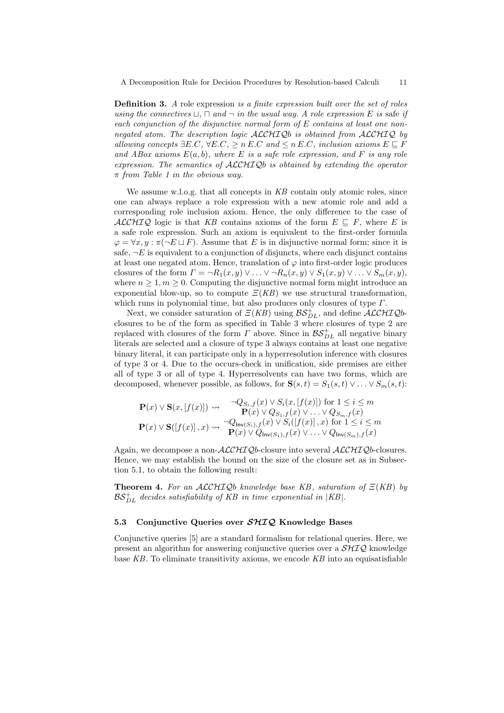**Definition 3.** A role expression is a finite expression built over the set of roles using the connectives  $\Box$ ,  $\Box$  and  $\neg$  in the usual way. A role expression E is safe if each conjunction of the disjunctive normal form of E contains at least one nonnegated atom. The description logic  $\text{ALCHIQ}$ b is obtained from  $\text{ALCHIQ}$  by allowing concepts  $\exists E.C, \forall E.C. > n E.C$  and  $\leq n E.C.$  inclusion axioms  $E \sqsubseteq F$ and ABox axioms  $E(a, b)$ , where E is a safe role expression, and F is any role expression. The semantics of ALCHIQb is obtained by extending the operator  $\pi$  from Table 1 in the obvious way.

We assume w.l.o.g. that all concepts in  $KB$  contain only atomic roles, since one can always replace a role expression with a new atomic role and add a corresponding role inclusion axiom. Hence, the only difference to the case of ALCHIQ logic is that KB contains axioms of the form  $E \subseteq F$ , where E is a safe role expression. Such an axiom is equivalent to the first-order formula  $\varphi = \forall x, y : \pi(\neg E \sqcup F)$ . Assume that E is in disjunctive normal form; since it is safe,  $\neg E$  is equivalent to a conjunction of disjuncts, where each disjunct contains at least one negated atom. Hence, translation of  $\varphi$  into first-order logic produces closures of the form  $\Gamma = \neg R_1(x, y) \vee \dots \vee \neg R_n(x, y) \vee S_1(x, y) \vee \dots \vee S_m(x, y)$ , where  $n \geq 1, m \geq 0$ . Computing the disjunctive normal form might introduce an exponential blow-up, so to compute  $E(KB)$  we use structural transformation, which runs in polynomial time, but also produces only closures of type  $\Gamma$ .

Next, we consider saturation of  $\mathcal{Z}(KB)$  using  $\mathcal{BS}_{DL}^+$ , and define  $\mathcal{ALCHIQ}$ bclosures to be of the form as specified in Table 3 where closures of type 2 are replaced with closures of the form  $\Gamma$  above. Since in  $\mathcal{BS}_{DL}^+$  all negative binary literals are selected and a closure of type 3 always contains at least one negative binary literal, it can participate only in a hyperresolution inference with closures of type 3 or 4. Due to the occurs-check in unification, side premises are either all of type 3 or all of type 4. Hyperresolvents can have two forms, which are decomposed, whenever possible, as follows, for  $S(s,t) = S_1(s,t) \vee ... \vee S_m(s,t)$ :

$$
\mathbf{P}(x) \vee \mathbf{S}(x,[f(x)]) \rightsquigarrow \begin{array}{c} \neg Q_{S_i,f}(x) \vee S_i(x,[f(x)]) \text{ for } 1 \leq i \leq m \\ \mathbf{P}(x) \vee Q_{S_1,f}(x) \vee \ldots \vee Q_{S_m,f}(x) \\ \mathbf{P}(x) \vee \mathbf{S}([f(x)],x) \rightsquigarrow \begin{array}{c} \neg Q_{\mathsf{Inv}(S_i),f}(x) \vee S_i([f(x)],x) \text{ for } 1 \leq i \leq m \\ \mathbf{P}(x) \vee Q_{\mathsf{Inv}(S_1),f}(x) \vee \ldots \vee Q_{\mathsf{Inv}(S_m),f}(x) \end{array}
$$

Again, we decompose a non- $\text{ALCHIQ}$ b-closure into several  $\text{ALCHIQ}$ b-closures. Hence, we may establish the bound on the size of the closure set as in Subsection 5.1, to obtain the following result:

**Theorem 4.** For an  $ALCHIQb$  knowledge base KB, saturation of  $E(KB)$  by  $\mathcal{BS}_{DL}^+$  decides satisfiability of KB in time exponential in |KB|.

## 5.3 Conjunctive Queries over  $\mathcal{SHIQ}$  Knowledge Bases

Conjunctive queries [5] are a standard formalism for relational queries. Here, we present an algorithm for answering conjunctive queries over a  $\mathcal{SHIQ}$  knowledge base  $KB$ . To eliminate transitivity axioms, we encode  $KB$  into an equisatisfiable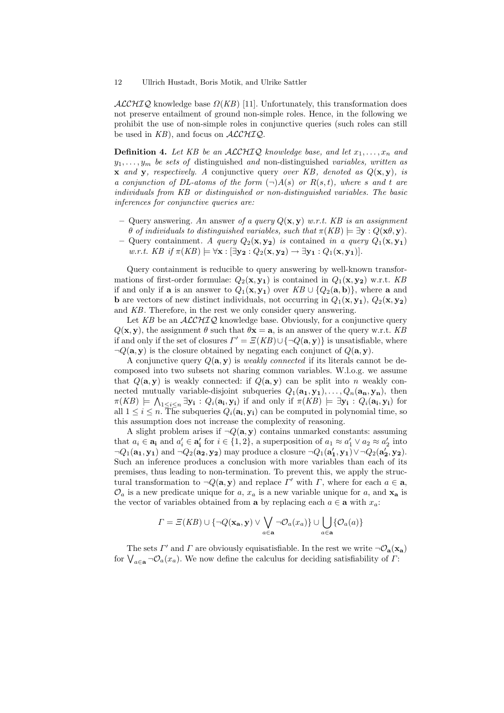$\mathcal{ALCHIQ}$  knowledge base  $\Omega(KB)$  [11]. Unfortunately, this transformation does not preserve entailment of ground non-simple roles. Hence, in the following we prohibit the use of non-simple roles in conjunctive queries (such roles can still be used in  $KB$ ), and focus on  $\mathcal{ALCHIQ}$ .

**Definition 4.** Let KB be an ALCHIQ knowledge base, and let  $x_1, \ldots, x_n$  and  $y_1, \ldots, y_m$  be sets of distinguished and non-distinguished variables, written as **x** and **y**, respectively. A conjunctive query over KB, denoted as  $Q(\mathbf{x}, \mathbf{y})$ , is a conjunction of DL-atoms of the form  $(\neg)A(s)$  or  $R(s,t)$ , where s and t are individuals from KB or distinguished or non-distinguished variables. The basic inferences for conjunctive queries are:

- Query answering. An answer of a query  $Q(\mathbf{x}, \mathbf{y})$  w.r.t. KB is an assignment θ of individuals to distinguished variables, such that  $π(KB)$   $\models$   $\exists$ y :  $Q(\mathbf{x}\theta, \mathbf{y})$ .
- Query containment. A query  $Q_2(\mathbf{x}, \mathbf{y_2})$  is contained in a query  $Q_1(\mathbf{x}, \mathbf{y_1})$ w.r.t. KB if  $\pi(KB) \models \forall \mathbf{x} : [\exists \mathbf{y_2} : Q_2(\mathbf{x}, \mathbf{y_2}) \rightarrow \exists \mathbf{y_1} : Q_1(\mathbf{x}, \mathbf{y_1})].$

Query containment is reducible to query answering by well-known transformations of first-order formulae:  $Q_2(\mathbf{x}, \mathbf{y}_1)$  is contained in  $Q_1(\mathbf{x}, \mathbf{y}_2)$  w.r.t. KB if and only if **a** is an answer to  $Q_1(\mathbf{x}, \mathbf{y}_1)$  over  $KB \cup \{Q_2(\mathbf{a}, \mathbf{b})\}$ , where **a** and **b** are vectors of new distinct individuals, not occurring in  $Q_1(\mathbf{x}, \mathbf{y}_1), Q_2(\mathbf{x}, \mathbf{y}_2)$ and KB. Therefore, in the rest we only consider query answering.

Let  $KB$  be an  $ALCHIQ$  knowledge base. Obviously, for a conjunctive query  $Q(\mathbf{x}, \mathbf{y})$ , the assignment  $\theta$  such that  $\theta \mathbf{x} = \mathbf{a}$ , is an answer of the query w.r.t. KB if and only if the set of closures  $\Gamma' = \Xi(KB) \cup {\neg Q(\mathbf{a}, \mathbf{y})}$  is unsatisfiable, where  $\neg Q(\mathbf{a}, \mathbf{y})$  is the closure obtained by negating each conjunct of  $Q(\mathbf{a}, \mathbf{y})$ .

A conjunctive query  $Q(\mathbf{a}, \mathbf{y})$  is *weakly connected* if its literals cannot be decomposed into two subsets not sharing common variables. W.l.o.g. we assume that  $Q(\mathbf{a}, \mathbf{y})$  is weakly connected: if  $Q(\mathbf{a}, \mathbf{y})$  can be split into n weakly connected mutually variable-disjoint subqueries  $Q_1(\mathbf{a_1}, \mathbf{y_1}), \ldots, Q_n(\mathbf{a_n}, \mathbf{y_n})$ , then  $\pi(KB) \models \bigwedge_{1 \leq i \leq n} \exists y_i : Q_i(a_i, y_i)$  if and only if  $\pi(KB) \models \exists y_i : Q_i(a_i, y_i)$  for all  $1 \leq i \leq n$ . The subqueries  $Q_i(\mathbf{a_i}, \mathbf{y_i})$  can be computed in polynomial time, so this assumption does not increase the complexity of reasoning.

A slight problem arises if  $\neg Q(\mathbf{a}, \mathbf{y})$  contains unmarked constants: assuming that  $a_i \in \mathbf{a_i}$  and  $a'_i \in \mathbf{a'_i}$  for  $i \in \{1,2\}$ , a superposition of  $a_1 \approx a'_1 \vee a_2 \approx a'_2$  into  $\neg Q_1(\mathbf{a_1}, \mathbf{y_1})$  and  $\neg Q_2(\mathbf{a_2}, \mathbf{y_2})$  may produce a closure  $\neg Q_1(\mathbf{a'_1}, \mathbf{y_1}) \vee \neg Q_2(\mathbf{a'_2}, \mathbf{y_2})$ . Such an inference produces a conclusion with more variables than each of its premises, thus leading to non-termination. To prevent this, we apply the structural transformation to  $\neg Q(\mathbf{a}, \mathbf{y})$  and replace  $\Gamma'$  with  $\Gamma$ , where for each  $a \in \mathbf{a}$ ,  $\mathcal{O}_a$  is a new predicate unique for a,  $x_a$  is a new variable unique for a, and  $x_a$  is the vector of variables obtained from **a** by replacing each  $a \in \mathbf{a}$  with  $x_a$ :

$$
\Gamma = \Xi(KB) \cup \{\neg Q(\mathbf{x_a}, \mathbf{y}) \lor \bigvee_{a \in \mathbf{a}} \neg \mathcal{O}_a(x_a) \} \cup \bigcup_{a \in \mathbf{a}} \{\mathcal{O}_a(a)\}
$$

The sets  $\Gamma'$  and  $\Gamma$  are obviously equisatisfiable. In the rest we write  $\neg \mathcal{O}_a(\mathbf{x}_a)$ for  $\bigvee_{a\in\mathbf{a}}\neg\mathcal{O}_a(x_a)$ . We now define the calculus for deciding satisfiability of  $\varGamma$ :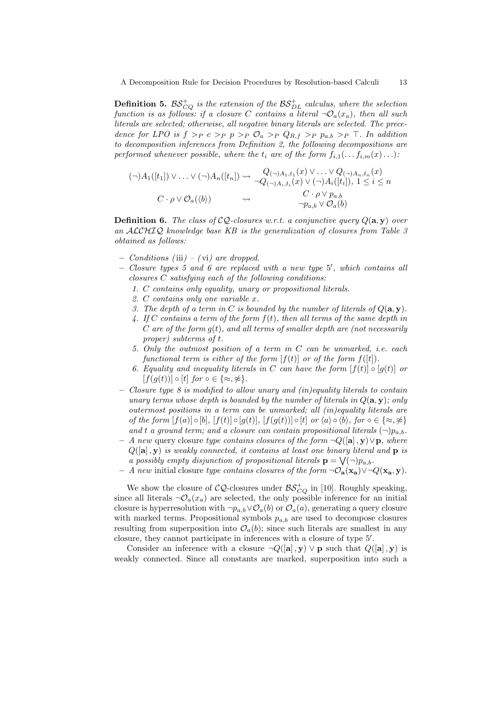**Definition 5.** BS $_{CQ}^{+}$  is the extension of the BS $_{DL}^{+}$  calculus, where the selection function is as follows: if a closure C contains a literal  $\neg \mathcal{O}_a(x_a)$ , then all such literals are selected; otherwise, all negative binary literals are selected. The precedence for LPO is  $f >_P c >_P p >_P \mathcal{O}_a >_P Q_{R,f} >_P p_{a,b} >_P \top$ . In addition to decomposition inferences from Definition 2, the following decompositions are performed whenever possible, where the  $t_i$  are of the form  $f_{i,1}(\ldots f_{i,m}(x) \ldots)$ :

$$
(\neg)A_1([t_1]) \vee \ldots \vee (\neg)A_n([t_n]) \rightsquigarrow \begin{array}{c} Q_{(\neg)A_1,t_1}(x) \vee \ldots \vee Q_{(\neg)A_n,t_n}(x) \\ \neg Q_{(\neg)A_i,t_i}(x) \vee (\neg)A_i([t_i]), 1 \le i \le n \\ C \cdot \rho \vee \mathcal{O}_a(\langle b \rangle) \end{array}
$$
  

$$
\sim \begin{array}{c} C \cdot \rho \vee \rho_{a,b} \\ \neg p_{a,b} \vee \mathcal{O}_a(b) \end{array}
$$

**Definition 6.** The class of  $CQ$ -closures w.r.t. a conjunctive query  $Q(\mathbf{a}, \mathbf{y})$  over an ALCHIQ knowledge base KB is the generalization of closures from Table 3 obtained as follows:

- $-$  Conditions (iii) (vi) are dropped.
- Closure types 5 and 6 are replaced with a new type 5', which contains all closures C satisfying each of the following conditions:
	- 1. C contains only equality, unary or propositional literals.
	- 2. C contains only one variable x.
	- 3. The depth of a term in C is bounded by the number of literals of  $Q(\mathbf{a}, \mathbf{y})$ .
	- 4. If C contains a term of the form  $f(t)$ , then all terms of the same depth in  $C$  are of the form  $g(t)$ , and all terms of smaller depth are (not necessarily proper) subterms of t.
	- 5. Only the outmost position of a term in C can be unmarked, i.e. each functional term is either of the form  $[f(t)]$  or of the form  $f([t])$ .
	- 6. Equality and inequality literals in C can have the form  $[f(t)] \circ [g(t)]$  or  $[f(g(t))] \circ [t]$  for  $\circ \in {\{\approx, \approx\}}$ .
- $-$  Closure type 8 is modified to allow unary and (in)equality literals to contain unary terms whose depth is bounded by the number of literals in  $Q(\mathbf{a}, \mathbf{y})$ ; only outermost positions in a term can be unmarked; all (in)equality literals are of the form  $[f(a)] \circ [b]$ ,  $[f(t)] \circ [g(t)]$ ,  $[f(g(t))] \circ [t]$  or  $\langle a \rangle \circ \langle b \rangle$ , for  $\circ \in \{\infty, \nleq\}$ and t a ground term; and a closure can contain propositional literals  $(\neg) p_{a,b}$ .
- A new query closure type contains closures of the form  $\neg Q([\mathbf{a}], \mathbf{y}) \vee \mathbf{p}$ , where  $Q([\mathbf{a}], \mathbf{y})$  is weakly connected, it contains at least one binary literal and  $\mathbf{p}$  is a possibly empty disjunction of propositional literals  $\mathbf{p} = \bigvee(\neg)p_{a,b}$ .
- A new initial closure type contains closures of the form  $\neg \mathcal{O}_{\mathbf{a}}(\mathbf{x}_{\mathbf{a}}) \vee \neg Q(\mathbf{x}_{\mathbf{a}}, \mathbf{y}).$

We show the closure of  $CQ$ -closures under  $\mathcal{BS}^+_{CQ}$  in [10]. Roughly speaking, since all literals  $\neg \mathcal{O}_a(x_a)$  are selected, the only possible inference for an initial closure is hyperresolution with  $\neg p_{a,b} \vee \mathcal{O}_a(b)$  or  $\mathcal{O}_a(a)$ , generating a query closure with marked terms. Propositional symbols  $p_{a,b}$  are used to decompose closures resulting from superposition into  $\mathcal{O}_a(b)$ ; since such literals are smallest in any closure, they cannot participate in inferences with a closure of type 5′ .

Consider an inference with a closure  $\neg Q([\mathbf{a}], \mathbf{y}) \vee \mathbf{p}$  such that  $Q([\mathbf{a}], \mathbf{y})$  is weakly connected. Since all constants are marked, superposition into such a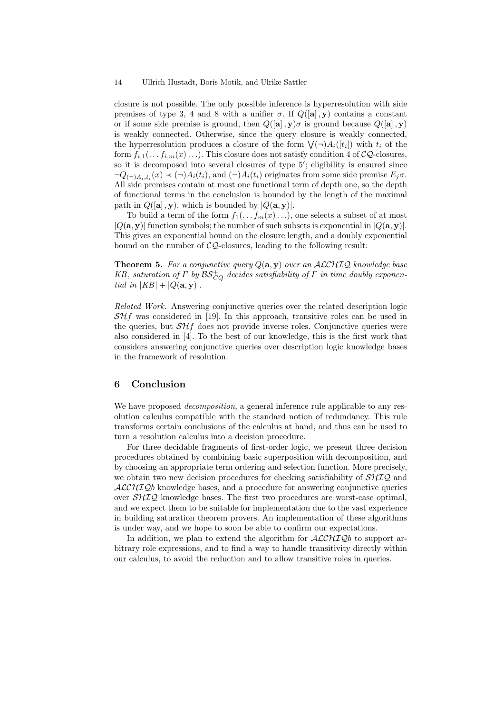closure is not possible. The only possible inference is hyperresolution with side premises of type 3, 4 and 8 with a unifier  $\sigma$ . If  $Q([\mathbf{a}], \mathbf{y})$  contains a constant or if some side premise is ground, then  $Q([\mathbf{a}], \mathbf{y})\sigma$  is ground because  $Q([\mathbf{a}], \mathbf{y})$ is weakly connected. Otherwise, since the query closure is weakly connected, the hyperresolution produces a closure of the form  $\mathcal{V}(\neg)A_i([t_i])$  with  $t_i$  of the form  $f_{i,1}(\ldots f_{i,m}(x) \ldots)$ . This closure does not satisfy condition 4 of  $\mathcal{CQ}$ -closures, so it is decomposed into several closures of type 5′ ; eligibility is ensured since  $\neg Q_{(\neg)A_i,t_i}(x) \prec (\neg)A_i(t_i)$ , and  $(\neg)A_i(t_i)$  originates from some side premise  $E_j \sigma$ . All side premises contain at most one functional term of depth one, so the depth of functional terms in the conclusion is bounded by the length of the maximal path in  $Q([\mathbf{a}], \mathbf{y})$ , which is bounded by  $|Q(\mathbf{a}, \mathbf{y})|$ .

To build a term of the form  $f_1(\ldots f_m(x) \ldots)$ , one selects a subset of at most  $|Q(\mathbf{a}, \mathbf{y})|$  function symbols; the number of such subsets is exponential in  $|Q(\mathbf{a}, \mathbf{y})|$ . This gives an exponential bound on the closure length, and a doubly exponential bound on the number of  $CQ$ -closures, leading to the following result:

**Theorem 5.** For a conjunctive query  $Q(\mathbf{a}, \mathbf{y})$  over an ALCHIQ knowledge base KB, saturation of  $\Gamma$  by  $\mathcal{BS}^+_{CQ}$  decides satisfiability of  $\Gamma$  in time doubly exponential in  $|KB| + |Q(\mathbf{a}, \mathbf{y})|$ .

Related Work. Answering conjunctive queries over the related description logic  $S\mathcal{H}f$  was considered in [19]. In this approach, transitive roles can be used in the queries, but  $\mathcal{SH}f$  does not provide inverse roles. Conjunctive queries were also considered in [4]. To the best of our knowledge, this is the first work that considers answering conjunctive queries over description logic knowledge bases in the framework of resolution.

## 6 Conclusion

We have proposed *decomposition*, a general inference rule applicable to any resolution calculus compatible with the standard notion of redundancy. This rule transforms certain conclusions of the calculus at hand, and thus can be used to turn a resolution calculus into a decision procedure.

For three decidable fragments of first-order logic, we present three decision procedures obtained by combining basic superposition with decomposition, and by choosing an appropriate term ordering and selection function. More precisely, we obtain two new decision procedures for checking satisfiability of  $\mathcal{SHIQ}$  and ALCHIQb knowledge bases, and a procedure for answering conjunctive queries over  $\mathcal{SHTQ}$  knowledge bases. The first two procedures are worst-case optimal, and we expect them to be suitable for implementation due to the vast experience in building saturation theorem provers. An implementation of these algorithms is under way, and we hope to soon be able to confirm our expectations.

In addition, we plan to extend the algorithm for  $\mathcal{ALCHIQ}b$  to support arbitrary role expressions, and to find a way to handle transitivity directly within our calculus, to avoid the reduction and to allow transitive roles in queries.